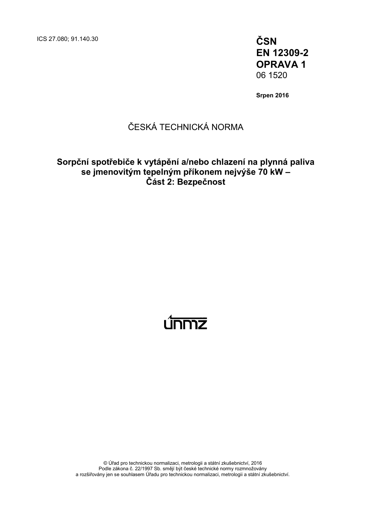ICS 27.080; 91.140.30 **ČSN**

**EN 12309-2 OPRAVA 1** 06 1520

**Srpen 2016**

# ČESKÁ TECHNICKÁ NORMA

## **Sorpční spotřebiče k vytápění a/nebo chlazení na plynná paliva se jmenovitým tepelným příkonem nejvýše 70 kW – Část 2: Bezpečnost**

# <u>únmz</u>

© Úřad pro technickou normalizaci, metrologii a státní zkušebnictví, 2016 Podle zákona č. 22/1997 Sb. smějí být české technické normy rozmnožovány a rozšiřovány jen se souhlasem Úřadu pro technickou normalizaci, metrologii a státní zkušebnictví.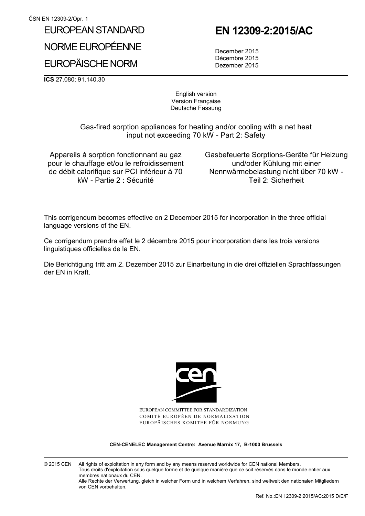## EUROPEAN STANDARD

NORME EUROPÉENNE

# EUROPÄISCHE NORM

 **EN 12309-2:2015/AC** 

 December 2015 Décembre 2015 Dezember 2015

**ICS** 27.080; 91.140.30

English version Version Française Deutsche Fassung

 Gas-fired sorption appliances for heating and/or cooling with a net heat input not exceeding 70 kW - Part 2: Safety

Appareils à sorption fonctionnant au gaz pour le chauffage et/ou le refroidissement de débit calorifique sur PCI inférieur à 70 kW - Partie 2 : Sécurité

 Gasbefeuerte Sorptions-Geräte für Heizung und/oder Kühlung mit einer Nennwärmebelastung nicht über 70 kW - Teil 2: Sicherheit

This corrigendum becomes effective on 2 December 2015 for incorporation in the three official language versions of the EN.

Ce corrigendum prendra effet le 2 décembre 2015 pour incorporation dans les trois versions linguistiques officielles de la EN.

Die Berichtigung tritt am 2. Dezember 2015 zur Einarbeitung in die drei offiziellen Sprachfassungen der EN in Kraft.



EUROPEAN COMMITTEE FOR STANDARDIZATION COMITÉ EUROPÉEN DE NORMALISATION EUROPÄISCHES KOMITEE FÜR NORMUNG

**CEN-CENELEC Management Centre: Avenue Marnix 17, B-1000 Brussels** 

© 2015 CEN All rights of exploitation in any form and by any means reserved worldwide for CEN national Members. Tous droits d'exploitation sous quelque forme et de quelque manière que ce soit réservés dans le monde entier aux membres nationaux du CEN. Alle Rechte der Verwertung, gleich in welcher Form und in welchem Verfahren, sind weltweit den nationalen Mitgliedern von CEN vorbehalten.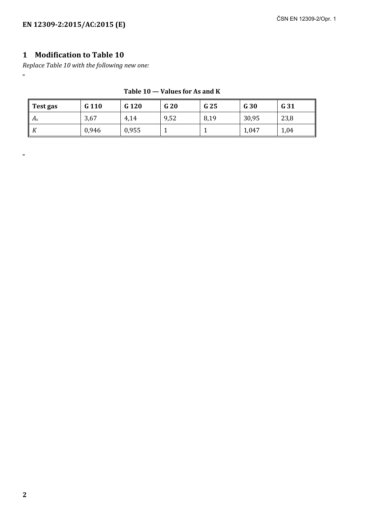## **1 Modification to Table 10**

*Replace Table 10 with the following new one:*  "

| Test gas              | G 110 | G <sub>120</sub> | G 20 | G 25 | G 30  | G 31 |
|-----------------------|-------|------------------|------|------|-------|------|
| $\parallel A_{\rm s}$ | 3,67  | 4,14             | 9,52 | 8,19 | 30,95 | 23,8 |
| $\mathsf{K}$          | 0,946 | 0,955            |      |      | 1,047 | 1,04 |

#### **Table 10 — Values for As and K**

"